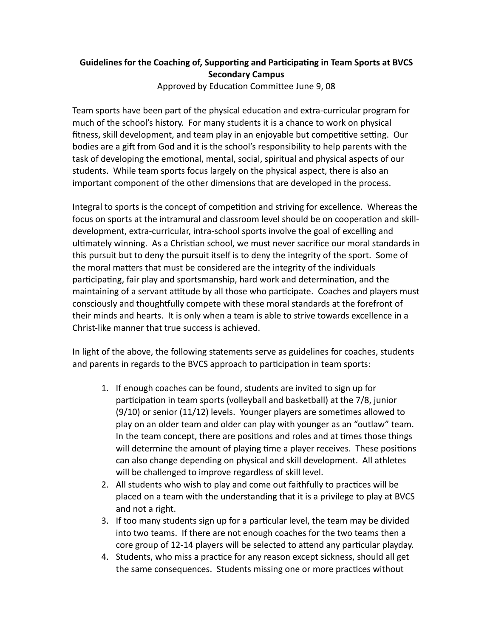## **Guidelines for the Coaching of, Supporting and Participating in Team Sports at BVCS Secondary Campus**

Approved by Education Committee June 9, 08

Team sports have been part of the physical education and extra-curricular program for much of the school's history. For many students it is a chance to work on physical fitness, skill development, and team play in an enjoyable but competitive setting. Our bodies are a gift from God and it is the school's responsibility to help parents with the task of developing the emotional, mental, social, spiritual and physical aspects of our students. While team sports focus largely on the physical aspect, there is also an important component of the other dimensions that are developed in the process.

Integral to sports is the concept of competition and striving for excellence. Whereas the focus on sports at the intramural and classroom level should be on cooperation and skilldevelopment, extra-curricular, intra-school sports involve the goal of excelling and ultimately winning. As a Christian school, we must never sacrifice our moral standards in this pursuit but to deny the pursuit itself is to deny the integrity of the sport. Some of the moral matters that must be considered are the integrity of the individuals participating, fair play and sportsmanship, hard work and determination, and the maintaining of a servant attitude by all those who participate. Coaches and players must consciously and thoughtfully compete with these moral standards at the forefront of their minds and hearts. It is only when a team is able to strive towards excellence in a Christ-like manner that true success is achieved.

In light of the above, the following statements serve as guidelines for coaches, students and parents in regards to the BVCS approach to participation in team sports:

- 1. If enough coaches can be found, students are invited to sign up for participation in team sports (volleyball and basketball) at the 7/8, junior (9/10) or senior (11/12) levels. Younger players are sometimes allowed to play on an older team and older can play with younger as an "outlaw" team. In the team concept, there are positions and roles and at times those things will determine the amount of playing time a player receives. These positions can also change depending on physical and skill development. All athletes will be challenged to improve regardless of skill level.
- 2. All students who wish to play and come out faithfully to practices will be placed on a team with the understanding that it is a privilege to play at BVCS and not a right.
- 3. If too many students sign up for a particular level, the team may be divided into two teams. If there are not enough coaches for the two teams then a core group of 12-14 players will be selected to attend any particular playday.
- 4. Students, who miss a practice for any reason except sickness, should all get the same consequences. Students missing one or more practices without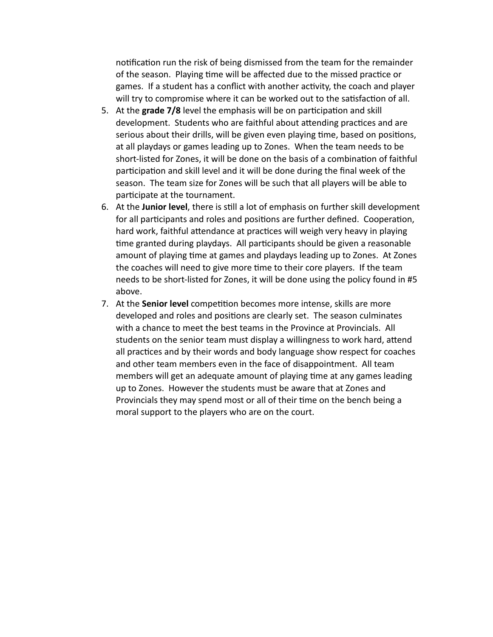notification run the risk of being dismissed from the team for the remainder of the season. Playing time will be affected due to the missed practice or games. If a student has a conflict with another activity, the coach and player will try to compromise where it can be worked out to the satisfaction of all.

- 5. At the **grade 7/8** level the emphasis will be on participation and skill development. Students who are faithful about attending practices and are serious about their drills, will be given even playing time, based on positions, at all playdays or games leading up to Zones. When the team needs to be short-listed for Zones, it will be done on the basis of a combination of faithful participation and skill level and it will be done during the final week of the season. The team size for Zones will be such that all players will be able to participate at the tournament.
- 6. At the **Junior level**, there is still a lot of emphasis on further skill development for all participants and roles and positions are further defined. Cooperation, hard work, faithful attendance at practices will weigh very heavy in playing time granted during playdays. All participants should be given a reasonable amount of playing time at games and playdays leading up to Zones. At Zones the coaches will need to give more time to their core players. If the team needs to be short-listed for Zones, it will be done using the policy found in #5 above.
- 7. At the **Senior level** competition becomes more intense, skills are more developed and roles and positions are clearly set. The season culminates with a chance to meet the best teams in the Province at Provincials. All students on the senior team must display a willingness to work hard, attend all practices and by their words and body language show respect for coaches and other team members even in the face of disappointment. All team members will get an adequate amount of playing time at any games leading up to Zones. However the students must be aware that at Zones and Provincials they may spend most or all of their time on the bench being a moral support to the players who are on the court.